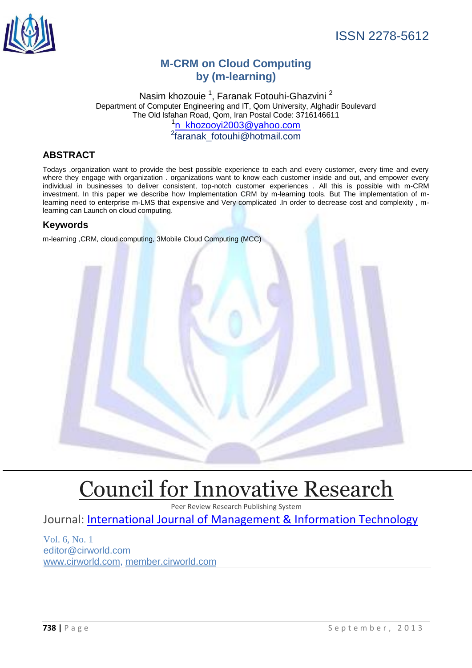

# **M-CRM on Cloud Computing by (m-learning)**

Nasim khozouie <sup>[1](http://en.wikipedia.org/wiki/Mobile_cloud_computing#cite_note-5)</sup>, Faranak Fotouhi-Ghazvini <sup>[2](http://en.wikipedia.org/wiki/Mobile_cloud_computing#cite_note-5)</sup> Department of Computer Engineering and IT, Qom University, Alghadir Boulevard The Old Isfahan Road, Qom, Iran Postal Code: 3716146611 <sup>1</sup>[n\\_khozooyi2003@yahoo.com](mailto:n_khozooyi2003@yahoo.com)<br><sup>2</sup>[faranak\\_fotouhi@hotmail.com](mailto:faranak_fotouhi@hotmail.com)

# **ABSTRACT**

Todays ,organization want to provide the best possible experience to each and every customer, every time and every where they engage with organization . organizations want to know each customer inside and out, and empower every individual in businesses to deliver consistent, top-notch customer experiences . All this is possible with m-CRM investment. In this paper we describe how Implementation CRM by m-learning tools. But The implementation of mlearning need to enterprise m-LMS that expensive and Very complicated .In order to decrease cost and complexity , mlearning can Launch on cloud computing.

# **Keywords**

m-learning ,CRM, cloud computing, 3Mobile Cloud Computing (MCC)



# [Council for Innovative Research](http://member.cirworld.com/)

Peer Review Research Publishing System

Journal: [International Journal of Management & Information Technology](http://www.ijmit.com/)

Vol. 6, No. 1 editor@cirworld.com [www.cirworld.com, me](http://www.cirworld.com/)mber.cirworld.com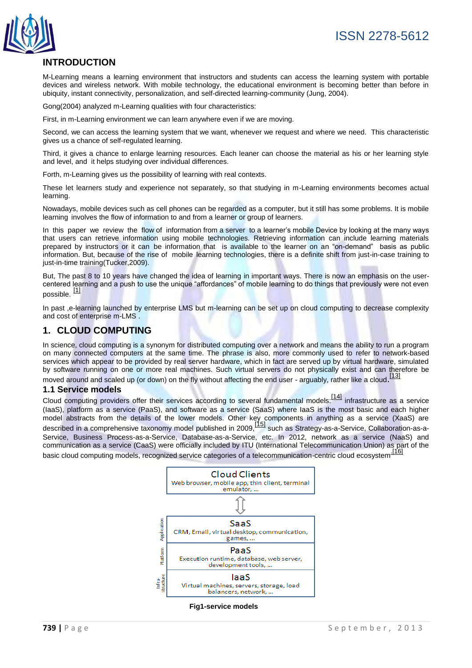

# **INTRODUCTION**

M-Learning means a learning environment that instructors and students can access the learning system with portable devices and wireless network. With mobile technology, the educational environment is becoming better than before in ubiquity, instant connectivity, personalization, and self-directed learning-community (Jung, 2004).

Gong(2004) analyzed m-Learning qualities with four characteristics:

First, in m-Learning environment we can learn anywhere even if we are moving.

Second, we can access the learning system that we want, whenever we request and where we need. This characteristic gives us a chance of self-regulated learning.

Third, it gives a chance to enlarge learning resources. Each leaner can choose the material as his or her learning style and level, and it helps studying over individual differences.

Forth, m-Learning gives us the possibility of learning with real contexts.

These let learners study and experience not separately, so that studying in m-Learning environments becomes actual learning.

Nowadays, mobile devices such as cell phones can be regarded as a computer, but it still has some problems. It is mobile learning involves the flow of information to and from a learner or group of learners.

In this paper we review the flow of information from a server to a learner's mobile Device by looking at the many ways that users can retrieve information using mobile technologies. Retrieving information can include learning materials prepared by instructors or it can be information that is available to the learner on an "on-demand" basis as public information. But, because of the rise of mobile learning technologies, there is a definite shift from just-in-case training to just-in-time training(Tucker,2009).

But, The past 8 to 10 years have changed the idea of learning in important ways. There is now an emphasis on the usercentered learning and a push to use the unique "affordances" of mobile learning to do things that previously were not even possible. [\[1\]](http://en.wikipedia.org/wiki/Cloud_computing#cite_note-2)

In past ,e-learning launched by enterprise LMS but m-learning can be set up on cloud computing to decrease complexity and cost of enterprise m-LMS .

## **1. CLOUD COMPUTING**

In science, cloud computing is a synonym for [distributed computing](http://en.wikipedia.org/wiki/Distributed_computing) over a network and means the ability to run a program on many connected computers at the same time. The phrase is also, more commonly used to refer to network-based services which appear to be provided by real server hardware, which in fact are served up by virtual hardware, simulated by software running on one or more real machines. Such virtual servers do not physically exist and can therefore be

moved around and scaled up (or down) on the fly without affecting the end user - arguably, rather like a cloud. [\[13\]](http://en.wikipedia.org/wiki/Cloud_computing#cite_note-2)

#### **1.1 Service models**

Cloud computing providers offer their services according to several fundamental models: <sup>[\[14\]](http://en.wikipedia.org/wiki/Cloud_computing#cite_note-nist-3)</sup> infrastructure as a service (IaaS), platform as a service (PaaS), and software as a service (SaaS) where IaaS is the most basic and each higher model abstracts from the details of the lower models. Other key components in anything as a service (XaaS) are described in a comprehensive taxonomy model published in 2009, <sup>[\[15\]](http://en.wikipedia.org/wiki/Cloud_computing#cite_note-57)</sup> such as Strategy-as-a-Service, Collaboration-as-a-Service, Business Process-as-a-Service, Database-as-a-Service, etc. In 2012, network as a service (NaaS) and communication as a service (CaaS) were officially included by ITU (International Telecommunication Union) as part of the basic cloud computing models, recognized service categories of a telecommunication-centric cloud ecosystem<sup>[.\[16\]](http://en.wikipedia.org/wiki/Cloud_computing#cite_note-58)</sup>

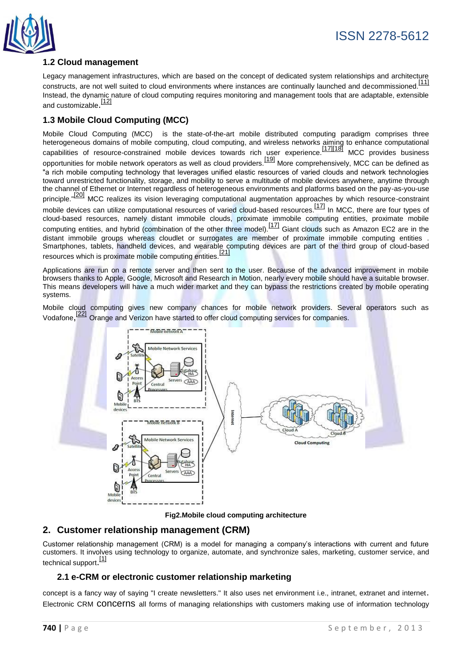

# **1.2 Cloud management**

Legacy management infrastructures, which are based on the concept of dedicated system relationships and architecture constructs, are not well suited to cloud environments where instances are continually launched and decommissioned.<sup>[\[11\]](http://en.wikipedia.org/wiki/Cloud_computing#cite_note-70)</sup> Instead, the dynamic nature of cloud computing requires monitoring and management tools that are adaptable, extensible and customizable.<sup>[\[12\]](http://en.wikipedia.org/wiki/Cloud_computing#cite_note-syscon-71)</sup>

# **1.3 Mobile Cloud Computing (MCC)**

Mobile Cloud Computing (MCC) is the state-of-the-art mobile distributed computing paradigm comprises three heterogeneous domains of mobile computing, [cloud computing,](http://en.wikipedia.org/wiki/Cloud_computing) and wireless networks aiming to enhance computational capabilities of resource-constrained mobile devices towards rich user experience.[\[17\]\[18\]](http://en.wikipedia.org/wiki/Mobile_cloud_computing#cite_note-:0-1) MCC provides business opportunities for mobile network operators as well as cloud providers.[\[19\]](http://en.wikipedia.org/wiki/Mobile_cloud_computing#cite_note-definition-3) More comprehensively, MCC can be defined as "a rich mobile computing technology that leverages unified elastic resources of varied clouds and network technologies toward unrestricted functionality, storage, and mobility to serve a multitude of mobile devices anywhere, anytime through the channel of Ethernet or Internet regardless of heterogeneous environments and platforms based on the pay-as-you-use principle."<sup>[\[20\]](http://en.wikipedia.org/wiki/Mobile_cloud_computing#cite_note-Sanaei_2013_1.E2.80.9324-4)</sup> MCC realizes its vision leveraging computational augmentation approaches by which resource-constraint mobile devices can utilize computational resources of varied cloud-based resources.<sup>[\[17\]](http://en.wikipedia.org/wiki/Mobile_cloud_computing#cite_note-:0-1)</sup> In MCC, there are four types of cloud-based resources, namely distant immobile clouds, proximate immobile computing entities, proximate mobile computing entities, and hybrid (combination of the other three model).<sup>[\[17\]](http://en.wikipedia.org/wiki/Mobile_cloud_computing#cite_note-:0-1)</sup> Giant clouds such as Amazon EC2 are in the distant immobile groups whereas cloudlet or surrogates are member of proximate immobile computing entities . Smartphones, tablets, handheld devices, and wearable computing devices are part of the third group of cloud-based resources which is proximate mobile computing entities.<sup>[\[21\]](http://en.wikipedia.org/wiki/Mobile_cloud_computing#cite_note-5)</sup>

Applications are run on a remote server and then sent to the user. Because of the advanced improvement in mobile browsers thanks to [Apple,](http://en.wikipedia.org/wiki/Apple_computer) [Google,](http://en.wikipedia.org/wiki/Google) [Microsoft](http://en.wikipedia.org/wiki/Microsoft) and [Research in Motion,](http://en.wikipedia.org/wiki/Research_in_Motion) nearly every mobile should have a suitable browser. This means developers will have a much wider market and they can bypass the restrictions created by mobile operating systems.

Mobile cloud computing gives new company chances for mobile network providers. Several operators such as [Vodafone](http://en.wikipedia.org/wiki/Vodafone), [\[22\]](http://en.wikipedia.org/wiki/Mobile_cloud_computing#cite_note-refname1-6) [Orange](http://en.wikipedia.org/wiki/Orange_(telecommunications)) an[d Verizon](http://en.wikipedia.org/wiki/Verizon) have started to offer cloud computing services for companies.





# **2. Customer relationship management (CRM)**

Customer relationship management (CRM) is a model for managing a company's interactions with current and future [customers.](http://en.wikipedia.org/wiki/Customers) It involves using technology to organize, automate, and synchronize [sales,](http://en.wikipedia.org/wiki/Sales) [marketing,](http://en.wikipedia.org/wiki/Marketing) [customer service,](http://en.wikipedia.org/wiki/Customer_service) and [technical support](http://en.wikipedia.org/wiki/Technical_support).<sup>[\[1\]](http://en.wikipedia.org/wiki/Customer_relationship_management#cite_note-1)</sup>

# **2.1 e-CRM or electronic customer relationship marketing**

concept is a fancy way of saying "I create newsletters." It also uses net environment i.e., intranet, extranet and internet. Electronic [CRM](http://en.wikipedia.org/wiki/Customer_relationship_management) concerns all forms of managing relationships with customers making use of [information technology](http://en.wikipedia.org/wiki/Information_technology)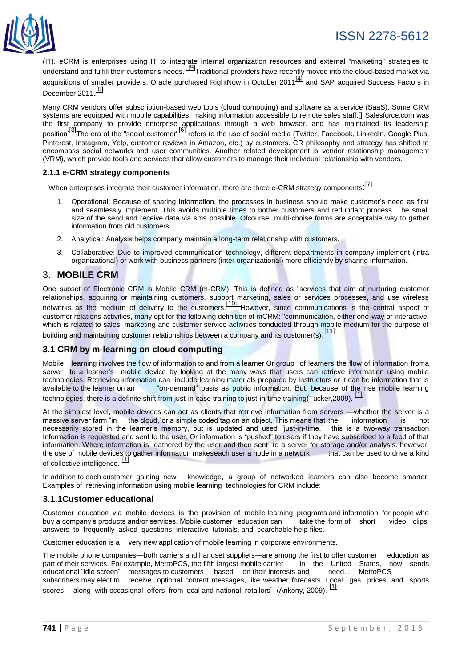



(IT). eCRM is enterprises using IT to integrate internal organization resources and external "marketing" strategies to understand and fulfill their customer's needs.  $\frac{191}{2}$ Traditional providers have recently moved into the cloud-based market via acquisitions of smaller providers: [Oracle](http://en.wikipedia.org/wiki/Oracle_Corporation) purchased [RightNow](http://en.wikipedia.org/wiki/RightNow) in October 2011<sup>[\[4\]](http://en.wikipedia.org/wiki/Customer_relationship_management#cite_note-11)</sup> and [SAP](http://en.wikipedia.org/wiki/SAP_AG) acquired [Success Factors](http://en.wikipedia.org/wiki/SuccessFactors) in December 2011.<sup>[\[5\]](http://en.wikipedia.org/wiki/Customer_relationship_management#cite_note-12)</sup>

Many CRM vendors offer subscription-based web tools [\(cloud computing\)](http://en.wikipedia.org/wiki/Cloud_computing) and [software as a service](http://en.wikipedia.org/wiki/Software_as_a_service) (SaaS). Some CRM systems are equipped with mobile capabilities, making information accessible to remote sales staff.[] [Salesforce.com](http://en.wikipedia.org/wiki/Salesforce.com) was the first company to provide enterprise applications through a web browser, and has maintained its leadership position<sup>.[3]</sup>The era of the "social customer"<sup>[\[6\]](http://en.wikipedia.org/wiki/Customer_relationship_management#cite_note-13)</sup> refers to the use of social media [\(Twitter,](http://en.wikipedia.org/wiki/Twitter) [Facebook,](http://en.wikipedia.org/wiki/Facebook) [LinkedIn,](http://en.wikipedia.org/wiki/LinkedIn) [Google Plus,](http://en.wikipedia.org/wiki/Google_Plus) [Pinterest,](http://en.wikipedia.org/wiki/Pinterest) [Instagram,](http://en.wikipedia.org/wiki/Instagram) [Yelp,](http://en.wikipedia.org/wiki/Yelp,_Inc.) customer reviews in [Amazon,](http://en.wikipedia.org/wiki/Amazon.com) etc.) by customers. CR philosophy and strategy has shifted to encompass social networks and user communities. Another related development is [vendor relationship management](http://en.wikipedia.org/wiki/Vendor_relationship_management) (VRM), which provide tools and services that allow customers to manage their individual relationship with vendors.

#### **2.1.1 e-CRM strategy components**

When enterprises integrate their customer information, there are three e-CRM strategy components: <sup>[\[7\]](http://en.wikipedia.org/wiki/E-crm#cite_note-13)</sup>

- 1. Operational: Because of sharing information, the processes in business should make customer's need as first and seamlessly implement. This avoids multiple times to bother customers and redundant process. The small size of the send and receive data via sms possible. Ofcourse multi-choise forms are acceptable way to gather information from old customers.
- 2. Analytical: Analysis helps company maintain a long-term relationship with customers.
- 3. Collaborative: Due to improved communication technology, different departments in company implement (intra organizational) or work with business partners (inter organizational) more efficiently by sharing information.

## 3. **MOBILE CRM**

One subset of Electronic CRM is Mobile CRM (m-CRM). This is defined as "services that aim at nurturing customer relationships, acquiring or maintaining customers, support marketing, sales or services processes, and use wireless networks as the medium of delivery to the customers.<sup>[\[10\]](http://en.wikipedia.org/wiki/ECRM#cite_note-28)</sup> However, since [communications](http://en.wikipedia.org/wiki/Communication) is the central aspect of customer relations activities, many opt for the following definition of mCRM: "communication, either one-way or interactive, which is related to sales, marketing and customer service activities conducted through mobile medium for the purpose of building and maintaining customer relationships between a company and its customer(s). <sup>[\[11\]](http://en.wikipedia.org/wiki/ECRM#cite_note-29)</sup>

## **3.1 CRM by m-learning on cloud computing**

Mobile learning involves the flow of information to and from a learner Or group of learners the flow of information froma server to a learner's mobile device by looking at the many ways that users can retrieve information using mobile technologies. Retrieving information can include learning materials prepared by instructors or it can be information that is available to the learner on an "on-demand" basis as public information. But, because of the rise mobile learning technologies, there is a definite shift from just-in-case training to just-in-time training(Tucker,2009). [\[1\]](http://en.wikipedia.org/wiki/Cloud_computing#cite_note-2)

At the simplest level, mobile devices can act as clients that retrieve information from servers —whether the server is a massive server farm "in the cloud,"or a simple coded tag on an object. This means that the information is not necessarily stored in the learner's memory, but is updated and used "just-in-time." this is a two-way transaction Information is requested and sent to the user. Or information is "pushed" to users if they have subscribed to a feed of that information. Where information is gathered by the user and then sent to a server for storage and/or analysis. however, the use of mobile devices to gather information makeseach user a node in a network that can be used to drive a kind of collective intelligence.<sup>[\[1\]](http://en.wikipedia.org/wiki/Cloud_computing#cite_note-2)</sup>

In addition to each customer gaining new knowledge, a group of networked learners can also become smarter. Examples of retrieving information using mobile learning technologies for CRM include:

#### **3.1.1Customer educational**

Customer education via mobile devices is the provision of mobile learning programs and information for people who buy a company's products and/or services. Mobile customer education can take the form of short video clips, answers to frequently asked questions, interactive tutorials, and searchable help files.

Customer education is a very new application of mobile learning in corporate environments.

The mobile phone companies—both carriers and handset suppliers—are among the first to offer customer education as part of their services. For example, MetroPCS, the fifth largest mobile carrier in the United States, now sends educational "idle screen" messages to customers based on their interests and need. MetroPCS educational "idle screen" messages to customers based on their interests and need.. subscribers may elect to receive optional content messages, like weather forecasts, Local gas prices, and sports scores, along with occasional offers from local and national retailers" (Ankeny, 2009). [\[1\]](http://en.wikipedia.org/wiki/Cloud_computing#cite_note-2)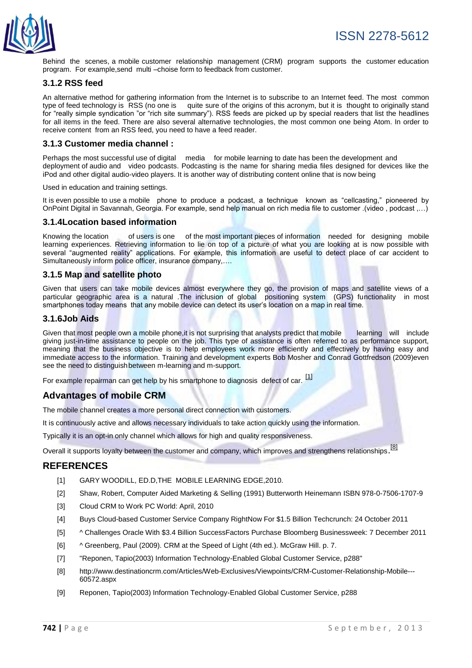

Behind the scenes, a mobile customer relationship management (CRM) program supports the customer education program. For example,send multi –choise form to feedback from customer.

## **3.1.2 RSS feed**

An alternative method for gathering information from the Internet is to subscribe to an Internet feed. The most common type of feed technology is RSS (no one is quite sure of the origins of this acronym, but it is thought to originally stand for "really simple syndication "or "rich site summary"). RSS feeds are picked up by special readers that list the headlines for all items in the feed. There are also several alternative technologies, the most common one being Atom. In order to receive content from an RSS feed, you need to have a feed reader.

## **3.1.3 Customer media channel :**

Perhaps the most successful use of digital media for mobile learning to date has been the development and deployment of audio and video podcasts. Podcasting is the name for sharing media files designed for devices like the iPod and other digital audio-video players. It is another way of distributing content online that is now being

#### Used in education and training settings.

It is even possible to use a mobile phone to produce a podcast, a technique known as "cellcasting," pioneered by OnPoint Digital in Savannah, Georgia. For example, send help manual on rich media file to customer .(video , podcast ,…)

#### **3.1.4Location based information**

Knowing the location of users is one of the most important pieces of information needed for designing mobile learning experiences. Retrieving information to lie on top of a picture of what you are looking at is now possible with several "augmented reality" applications. For example, this information are useful to detect place of car accident to Simultaneously inform police officer, insurance company,….

#### **3.1.5 Map and satellite photo**

Given that users can take mobile devices almost everywhere they go, the provision of maps and satellite views of a particular geographic area is a natural .The inclusion of global positioning system (GPS) functionality in most smartphones today means that any mobile device can detect its user's location on a map in real time.

#### **3.1.6Job Aids**

Given that most people own a mobile phone, it is not surprising that analysts predict that mobile learning will include giving just-in-time assistance to people on the job. This type of assistance is often referred to as performance support, meaning that the business objective is to help employees work more efficiently and effectively by having easy and immediate access to the information. Training and development experts Bob Mosher and Conrad Gottfredson (2009)even see the need to distinguishbetween m-learning and m-support.

For example repairman can get help by his smartphone to diagnosis defect of car. <sup>[\[1\]](http://en.wikipedia.org/wiki/Cloud_computing#cite_note-2)</sup>

## **Advantages of mobile CRM**

The mobile channel creates a more personal direct connection with customers.

It is continuously active and allows necessary individuals to take action quickly using the information.

Typically it is an opt-in only channel which allows for high and quality responsiveness.

Overall it supports loyalty between the customer and company, which improves and strengthens relationships.<sup>[\[8\]](http://en.wikipedia.org/wiki/E-crm#cite_note-33)</sup>

## **REFERENCES**

- [1] GARY WOODILL, ED.D, THE MOBILE LEARNING EDGE, 2010.
- [2] [Shaw, Robert,](http://en.wikipedia.org/wiki/Robert_Shaw_(Marketing)) Computer Aided Marketing & Selling (1991) Butterworth Heinemann [ISBN 978-0-7506-1707-9](http://en.wikipedia.org/wiki/Special:BookSources/9780750617079)
- [3] [Cloud CRM to Work](http://www.pcworld.com/businesscenter/article/193463/put_cloud_crm_to_work.html%7Ctitle=Put) PC World: April, 2010
- [4] [Buys Cloud-based Customer Service Company RightNow For \\$1.5 Billion](http://techcrunch.com/2011/10/24/oracle-buys-cloud-based-customer-service-company-rightnow-for-1-5-billion/%7Ctitle=Oracle) Techcrunch: 24 October 2011
- [5] [^](http://en.wikipedia.org/wiki/Customer_relationship_management#cite_ref-12) [Challenges Oracle With \\$3.4 Billion SuccessFactors Purchase](http://www.businessweek.com/news/2011-12-07/sap-challenges-oracle-with-3-4-billion-successfactors-purchase.html%7Ctitle=SAP) Bloomberg Businessweek: 7 December 2011
- [6] [^](http://en.wikipedia.org/wiki/Customer_relationship_management#cite_ref-13) Greenberg, Paul (2009). CRM at the Speed of Light (4th ed.). McGraw Hill. p. 7.
- [7] "Reponen, Tapio(2003) Information Technology-Enabled Global Customer Service, p288"
- [8] [http://www.destinationcrm.com/Articles/Web-Exclusives/Viewpoints/CRM-Customer-Relationship-Mobile---](http://www.destinationcrm.com/Articles/Web-Exclusives/Viewpoints/CRM-Customer-Relationship-Mobile---60572.aspx) [60572.aspx](http://www.destinationcrm.com/Articles/Web-Exclusives/Viewpoints/CRM-Customer-Relationship-Mobile---60572.aspx)
- [9] Reponen, Tapio(2003) Information Technology-Enabled Global Customer Service, p288